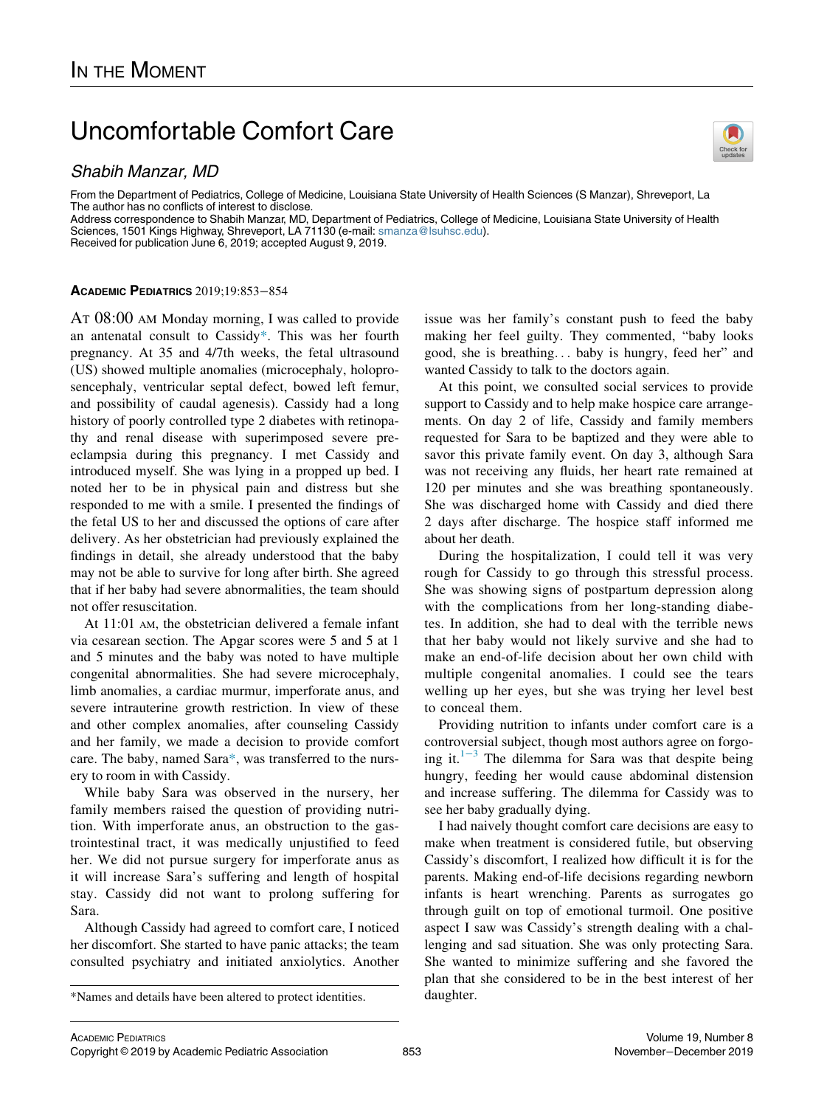# Uncomfortable Comfort Care

## Shabih Manzar, MD

From the Department of Pediatrics, College of Medicine, Louisiana State University of Health Sciences (S Manzar), Shreveport, La The author has no conflicts of interest to disclose.

Address correspondence to Shabih Manzar, MD, Department of Pediatrics, College of Medicine, Louisiana State University of Health Sciences, 1501 Kings Highway, Shreveport, LA 71130 (e-mail: [smanza@lsuhsc.edu\)](mailto:smanza@lsuhsc.edu).

Received for publication June 6, 2019; accepted August 9, 2019.

#### ACADEMIC PEDIATRICS 2019;19:853−854

AT 08:00 AM Monday morning, I was called to provide an antenatal consult to Cassid[y\\*](#page-0-0). This was her fourth pregnancy. At 35 and 4/7th weeks, the fetal ultrasound (US) showed multiple anomalies (microcephaly, holoprosencephaly, ventricular septal defect, bowed left femur, and possibility of caudal agenesis). Cassidy had a long history of poorly controlled type 2 diabetes with retinopathy and renal disease with superimposed severe preeclampsia during this pregnancy. I met Cassidy and introduced myself. She was lying in a propped up bed. I noted her to be in physical pain and distress but she responded to me with a smile. I presented the findings of the fetal US to her and discussed the options of care after delivery. As her obstetrician had previously explained the findings in detail, she already understood that the baby may not be able to survive for long after birth. She agreed that if her baby had severe abnormalities, the team should not offer resuscitation.

At 11:01 AM, the obstetrician delivered a female infant via cesarean section. The Apgar scores were 5 and 5 at 1 and 5 minutes and the baby was noted to have multiple congenital abnormalities. She had severe microcephaly, limb anomalies, a cardiac murmur, imperforate anus, and severe intrauterine growth restriction. In view of these and other complex anomalies, after counseling Cassidy and her family, we made a decision to provide comfort care. The baby, named Sara[\\*,](#page-0-0) was transferred to the nursery to room in with Cassidy.

While baby Sara was observed in the nursery, her family members raised the question of providing nutrition. With imperforate anus, an obstruction to the gastrointestinal tract, it was medically unjustified to feed her. We did not pursue surgery for imperforate anus as it will increase Sara's suffering and length of hospital stay. Cassidy did not want to prolong suffering for Sara.

Although Cassidy had agreed to comfort care, I noticed her discomfort. She started to have panic attacks; the team consulted psychiatry and initiated anxiolytics. Another



issue was her family's constant push to feed the baby making her feel guilty. They commented, "baby looks good, she is breathing... baby is hungry, feed her" and wanted Cassidy to talk to the doctors again.

At this point, we consulted social services to provide support to Cassidy and to help make hospice care arrangements. On day 2 of life, Cassidy and family members requested for Sara to be baptized and they were able to savor this private family event. On day 3, although Sara was not receiving any fluids, her heart rate remained at 120 per minutes and she was breathing spontaneously. She was discharged home with Cassidy and died there 2 days after discharge. The hospice staff informed me about her death.

During the hospitalization, I could tell it was very rough for Cassidy to go through this stressful process. She was showing signs of postpartum depression along with the complications from her long-standing diabetes. In addition, she had to deal with the terrible news that her baby would not likely survive and she had to make an end-of-life decision about her own child with multiple congenital anomalies. I could see the tears welling up her eyes, but she was trying her level best to conceal them.

Providing nutrition to infants under comfort care is a controversial subject, though most authors agree on forgoing it. $1^{-3}$  The dilemma for Sara was that despite being hungry, feeding her would cause abdominal distension and increase suffering. The dilemma for Cassidy was to see her baby gradually dying.

I had naively thought comfort care decisions are easy to make when treatment is considered futile, but observing Cassidy's discomfort, I realized how difficult it is for the parents. Making end-of-life decisions regarding newborn infants is heart wrenching. Parents as surrogates go through guilt on top of emotional turmoil. One positive aspect I saw was Cassidy's strength dealing with a challenging and sad situation. She was only protecting Sara. She wanted to minimize suffering and she favored the plan that she considered to be in the best interest of her

<span id="page-0-0"></span><sup>\*</sup>Names and details have been altered to protect identities. daughter.